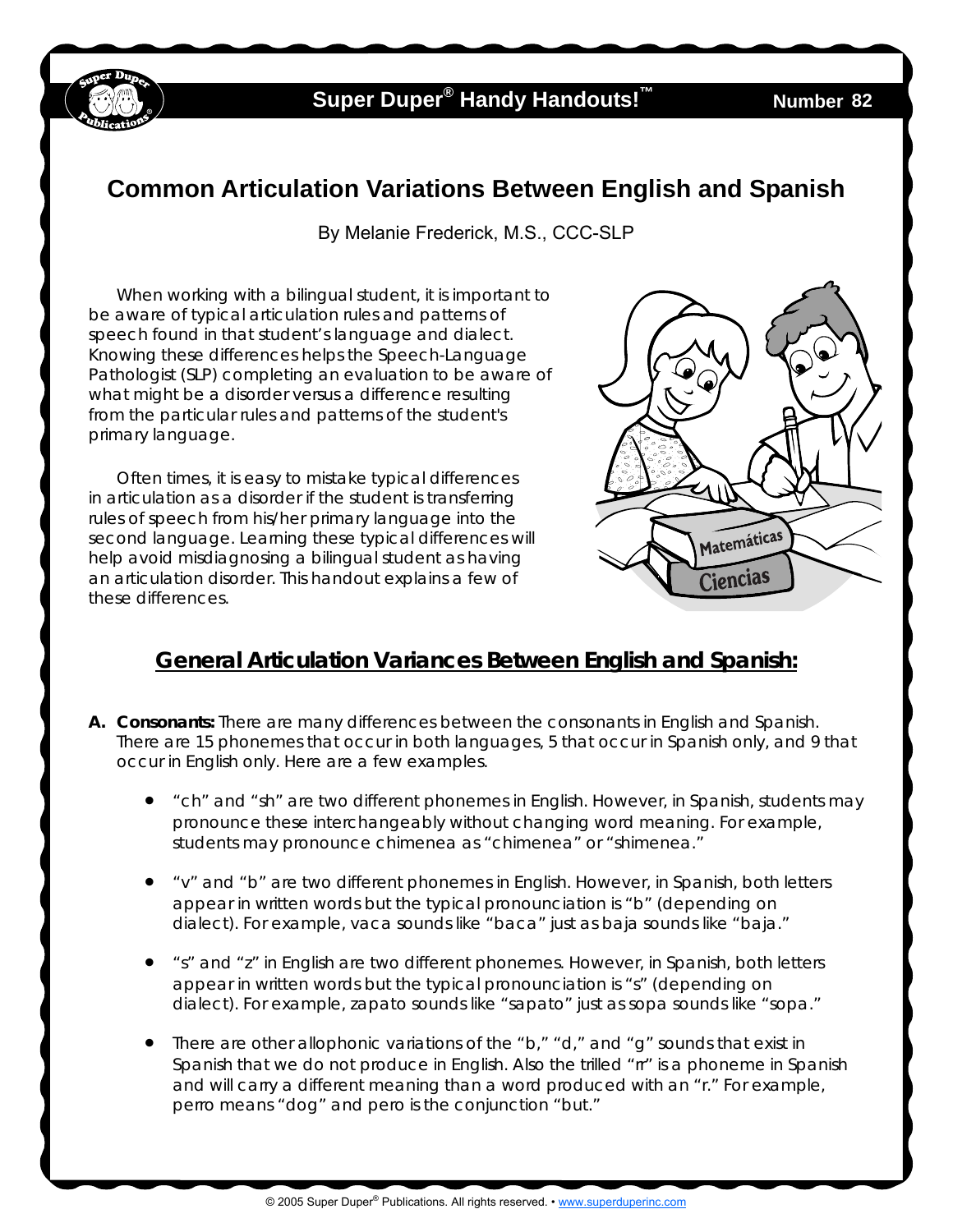

## **Super Duper<sup>®</sup> Handy Handouts!<sup>™</sup>**

## **Common Articulation Variations Between English and Spanish**

By Melanie Frederick, M.S., CCC-SLP

When working with a bilingual student, it is important to be aware of typical articulation rules and patterns of speech found in that student's language and dialect. Knowing these differences helps the Speech-Language Pathologist (SLP) completing an evaluation to be aware of what might be a disorder versus a difference resulting from the particular rules and patterns of the student's primary language.

Often times, it is easy to mistake typical differences in articulation as a disorder if the student is transferring rules of speech from his/her primary language into the second language. Learning these typical differences will help avoid misdiagnosing a bilingual student as having an articulation disorder. This handout explains a few of these differences.



## *General Articulation Variances Between English and Spanish:*

- **A. Consonants:** There are many differences between the consonants in English and Spanish. There are 15 phonemes that occur in both languages, 5 that occur in Spanish only, and 9 that occur in English only. Here are a few examples.
	- "*ch*" and "*sh*" are two different phonemes in English. However, in Spanish, students may pronounce these interchangeably without changing word meaning. For example, students may pronounce *chimenea* as "chimenea" or "shimenea."
	- "*v*" and "*b*" are two different phonemes in English. However, in Spanish, both letters appear in written words but the typical pronounciation is "b" (depending on dialect). For example, *vaca* sounds like "baca" just as *baja* sounds like "baja."
	- "*s*" and "*z*" in English are two different phonemes. However, in Spanish, both letters appear in written words but the typical pronounciation is "s" (depending on dialect). For example, *zapato* sounds like "sapato" just as *sopa* sounds like "sopa."
	- There are other allophonic variations of the " $b$ ," " $d$ ," and " $g$ " sounds that exist in Spanish that we do not produce in English. Also the trilled "*rr*" is a phoneme in Spanish and will carry a different meaning than a word produced with an "*r*." For example, *perro* means "dog" and *pero* is the conjunction "but."